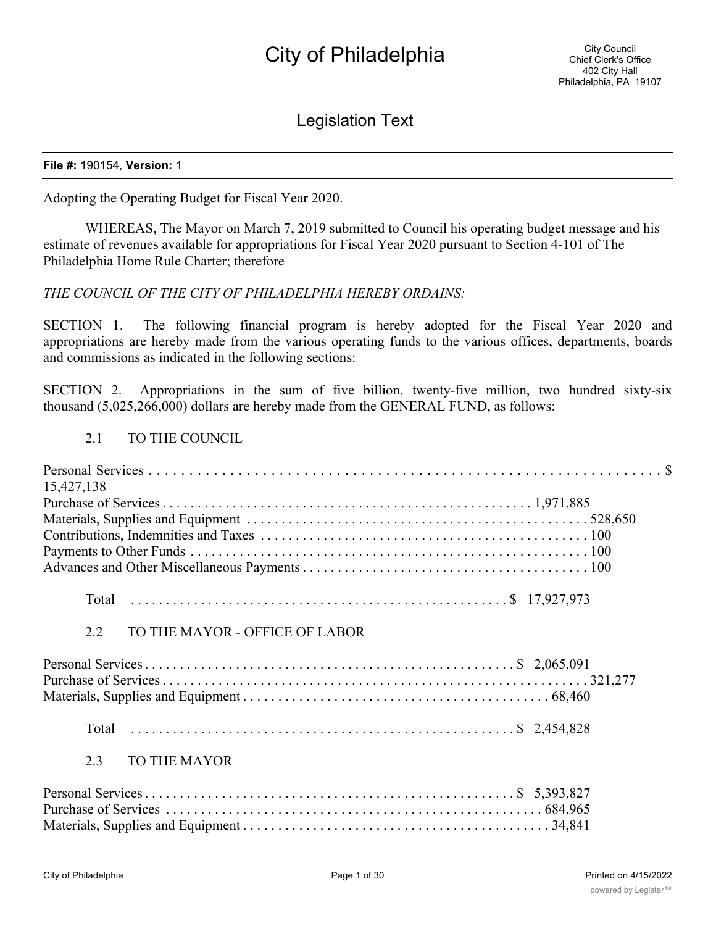# City of Philadelphia

# Legislation Text

#### **File #:** 190154, **Version:** 1

#### Adopting the Operating Budget for Fiscal Year 2020.

WHEREAS, The Mayor on March 7, 2019 submitted to Council his operating budget message and his estimate of revenues available for appropriations for Fiscal Year 2020 pursuant to Section 4-101 of The Philadelphia Home Rule Charter; therefore

## *THE COUNCIL OF THE CITY OF PHILADELPHIA HEREBY ORDAINS:*

SECTION 1. The following financial program is hereby adopted for the Fiscal Year 2020 and appropriations are hereby made from the various operating funds to the various offices, departments, boards and commissions as indicated in the following sections:

SECTION 2. Appropriations in the sum of five billion, twenty-five million, two hundred sixty-six thousand (5,025,266,000) dollars are hereby made from the GENERAL FUND, as follows:

#### 2.1 TO THE COUNCIL

| 15,427,138                            |  |
|---------------------------------------|--|
|                                       |  |
|                                       |  |
|                                       |  |
|                                       |  |
|                                       |  |
| Total                                 |  |
| 2.2<br>TO THE MAYOR - OFFICE OF LABOR |  |
|                                       |  |
|                                       |  |
|                                       |  |
| 2.3<br><b>TO THE MAYOR</b>            |  |
|                                       |  |
|                                       |  |
|                                       |  |
|                                       |  |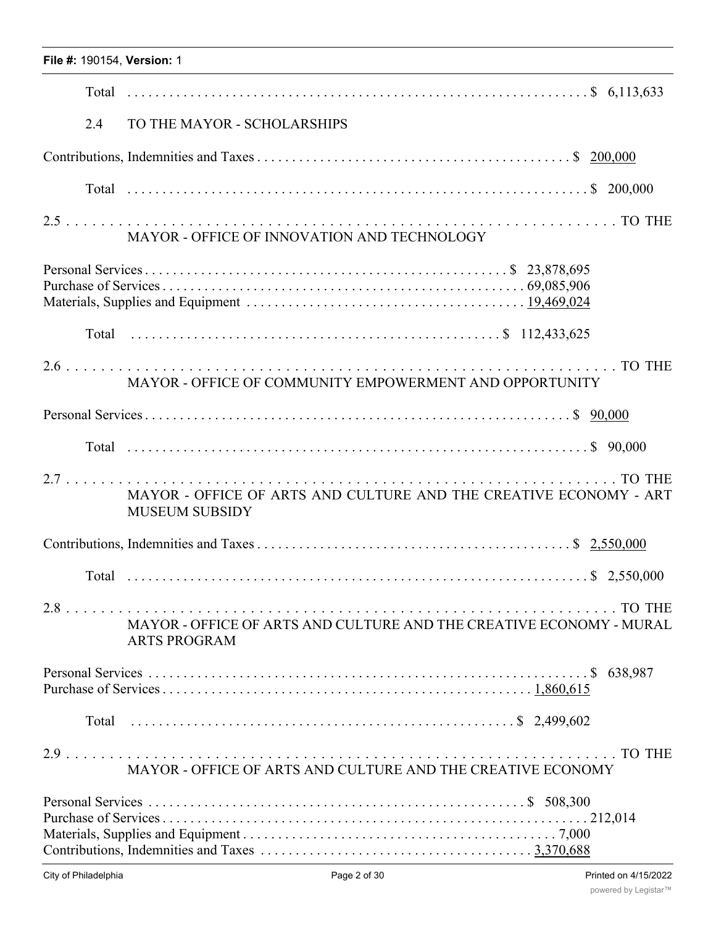| File #: 190154, Version: 1 | and the control of the control of the control of the control of the control of the control of the control of the |
|----------------------------|------------------------------------------------------------------------------------------------------------------|
|                            |                                                                                                                  |
| 2.4                        | TO THE MAYOR - SCHOLARSHIPS                                                                                      |
|                            |                                                                                                                  |
|                            |                                                                                                                  |
|                            | MAYOR - OFFICE OF INNOVATION AND TECHNOLOGY                                                                      |
|                            |                                                                                                                  |
|                            |                                                                                                                  |
|                            | MAYOR - OFFICE OF COMMUNITY EMPOWERMENT AND OPPORTUNITY                                                          |
|                            |                                                                                                                  |
|                            |                                                                                                                  |
|                            | MAYOR - OFFICE OF ARTS AND CULTURE AND THE CREATIVE ECONOMY - ART<br><b>MUSEUM SUBSIDY</b>                       |
|                            |                                                                                                                  |
| Total                      | \$2,550,000                                                                                                      |
|                            | MAYOR - OFFICE OF ARTS AND CULTURE AND THE CREATIVE ECONOMY - MURAL<br><b>ARTS PROGRAM</b>                       |
|                            |                                                                                                                  |
|                            |                                                                                                                  |
|                            | MAYOR - OFFICE OF ARTS AND CULTURE AND THE CREATIVE ECONOMY                                                      |
|                            |                                                                                                                  |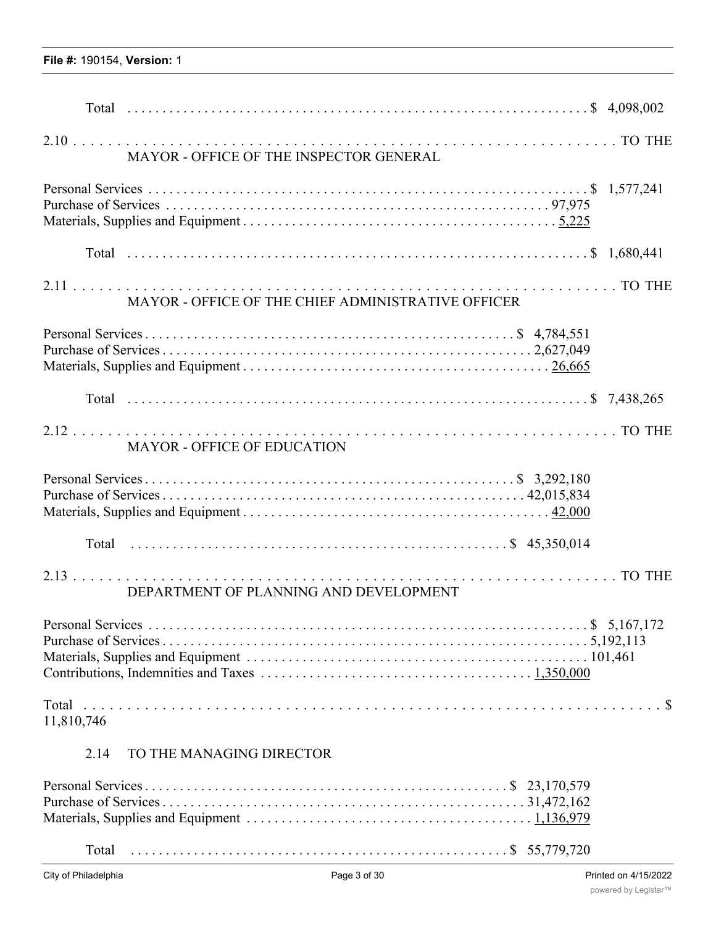|  |  |  | File #: 190154, Version: 1 |  |
|--|--|--|----------------------------|--|
|--|--|--|----------------------------|--|

| MAYOR - OFFICE OF THE INSPECTOR GENERAL            |
|----------------------------------------------------|
|                                                    |
|                                                    |
| MAYOR - OFFICE OF THE CHIEF ADMINISTRATIVE OFFICER |
|                                                    |
|                                                    |
| <b>MAYOR - OFFICE OF EDUCATION</b>                 |
|                                                    |
|                                                    |
| DEPARTMENT OF PLANNING AND DEVELOPMENT             |
|                                                    |
| 11,810,746                                         |
| TO THE MANAGING DIRECTOR<br>2.14                   |
|                                                    |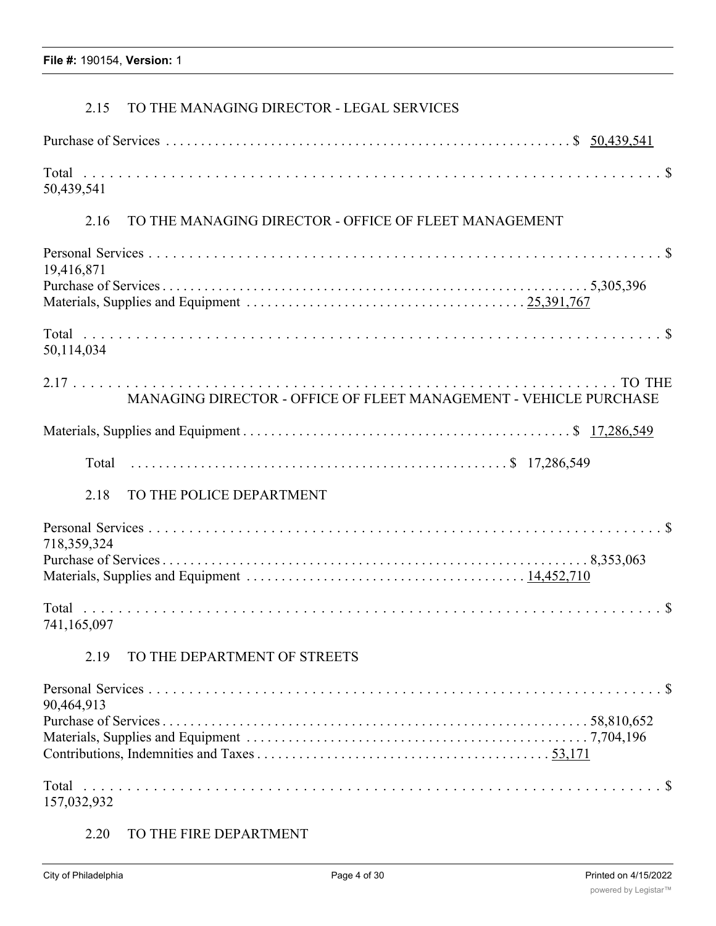# 2.15 TO THE MANAGING DIRECTOR - LEGAL SERVICES

| 50,439,541                                                        |
|-------------------------------------------------------------------|
| TO THE MANAGING DIRECTOR - OFFICE OF FLEET MANAGEMENT<br>2.16     |
| 19,416,871                                                        |
|                                                                   |
| 50,114,034                                                        |
| MANAGING DIRECTOR - OFFICE OF FLEET MANAGEMENT - VEHICLE PURCHASE |
|                                                                   |
|                                                                   |
| TO THE POLICE DEPARTMENT<br>2.18                                  |
| 718,359,324                                                       |
| 741,165,097                                                       |
| 2.19 TO THE DEPARTMENT OF STREETS                                 |
| 90,464,913                                                        |
| 157,032,932                                                       |

## 2.20 TO THE FIRE DEPARTMENT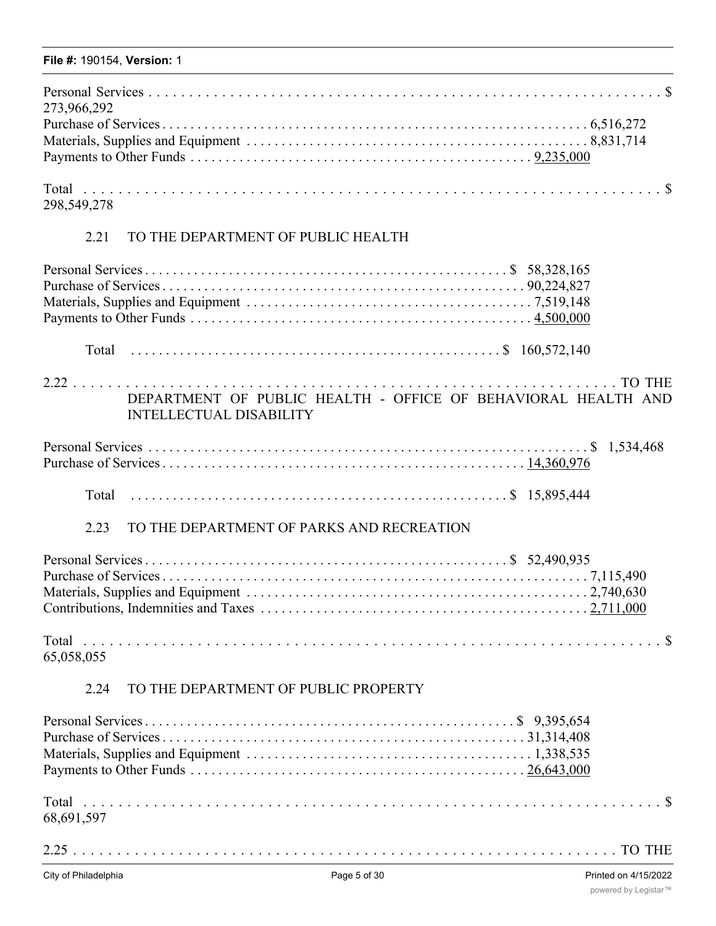| 273,966,292 |  |
|-------------|--|
|             |  |
|             |  |
| 298,549,278 |  |

# 2.21 TO THE DEPARTMENT OF PUBLIC HEALTH

|            | DEPARTMENT OF PUBLIC HEALTH - OFFICE OF BEHAVIORAL HEALTH AND<br><b>INTELLECTUAL DISABILITY</b> |  |
|------------|-------------------------------------------------------------------------------------------------|--|
|            |                                                                                                 |  |
|            |                                                                                                 |  |
| 2.23       | TO THE DEPARTMENT OF PARKS AND RECREATION                                                       |  |
|            |                                                                                                 |  |
| 65,058,055 |                                                                                                 |  |

# 2.24 TO THE DEPARTMENT OF PUBLIC PROPERTY

| 68,691,597 |  |
|------------|--|
|            |  |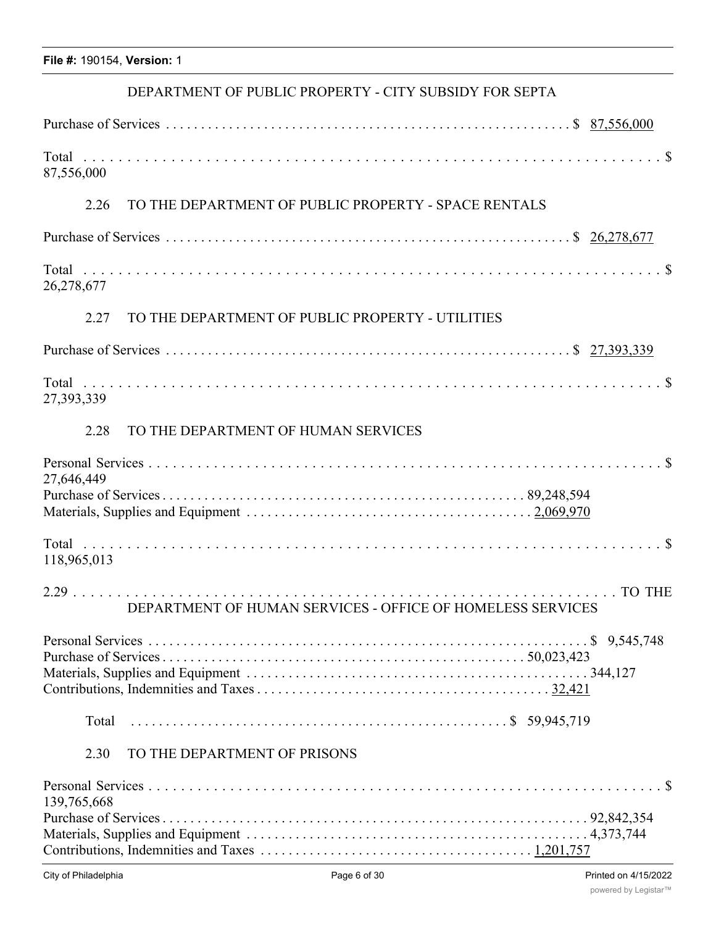# DEPARTMENT OF PUBLIC PROPERTY - CITY SUBSIDY FOR SEPTA

| 87,556,000                                                   |
|--------------------------------------------------------------|
| TO THE DEPARTMENT OF PUBLIC PROPERTY - SPACE RENTALS<br>2.26 |
|                                                              |
| 26,278,677                                                   |
| TO THE DEPARTMENT OF PUBLIC PROPERTY - UTILITIES<br>2.27     |
|                                                              |
| 27,393,339                                                   |
| TO THE DEPARTMENT OF HUMAN SERVICES<br>2.28                  |
| 27,646,449                                                   |
| 118,965,013                                                  |
| DEPARTMENT OF HUMAN SERVICES - OFFICE OF HOMELESS SERVICES   |
|                                                              |
| Total                                                        |
| TO THE DEPARTMENT OF PRISONS<br>2.30                         |
| 139,765,668                                                  |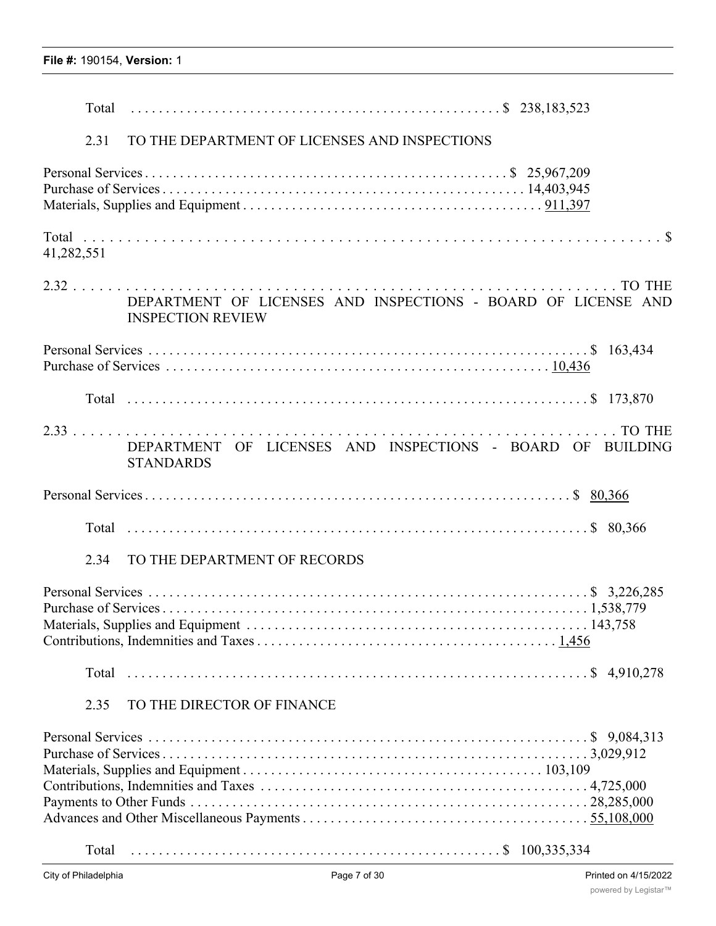| 2.31       | TO THE DEPARTMENT OF LICENSES AND INSPECTIONS                                             |
|------------|-------------------------------------------------------------------------------------------|
|            |                                                                                           |
| 41,282,551 |                                                                                           |
|            | DEPARTMENT OF LICENSES AND INSPECTIONS - BOARD OF LICENSE AND<br><b>INSPECTION REVIEW</b> |
|            |                                                                                           |
|            |                                                                                           |
|            | DEPARTMENT OF LICENSES AND INSPECTIONS - BOARD OF BUILDING<br><b>STANDARDS</b>            |
|            |                                                                                           |
|            |                                                                                           |
|            | 2.34 TO THE DEPARTMENT OF RECORDS                                                         |
|            |                                                                                           |
|            |                                                                                           |
| 2.35       | TO THE DIRECTOR OF FINANCE                                                                |
|            |                                                                                           |

Total . . . . . . . . . . . . . . . . . . . . . . . . . . . . . . . . . . . . . . . . . . . . . . . . . . . . . \$ 100,335,334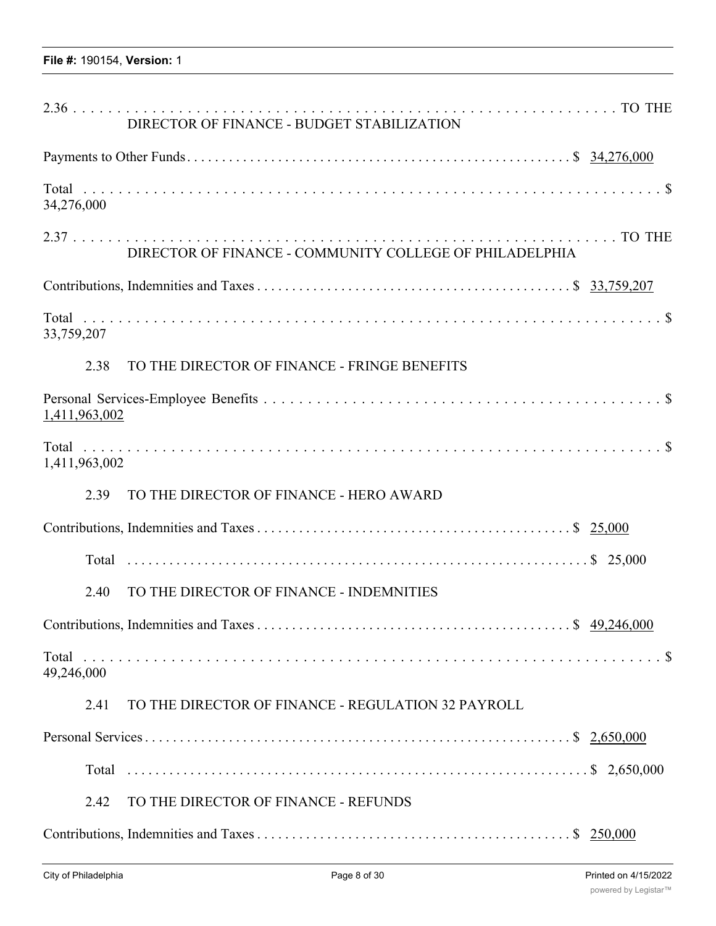|               | DIRECTOR OF FINANCE - BUDGET STABILIZATION              |  |
|---------------|---------------------------------------------------------|--|
|               |                                                         |  |
| 34,276,000    |                                                         |  |
|               | DIRECTOR OF FINANCE - COMMUNITY COLLEGE OF PHILADELPHIA |  |
|               |                                                         |  |
| 33,759,207    |                                                         |  |
| 2.38          | TO THE DIRECTOR OF FINANCE - FRINGE BENEFITS            |  |
| 1,411,963,002 |                                                         |  |
| 1,411,963,002 |                                                         |  |
| 2.39          | TO THE DIRECTOR OF FINANCE - HERO AWARD                 |  |
|               |                                                         |  |
|               |                                                         |  |
| 2.40          | TO THE DIRECTOR OF FINANCE - INDEMNITIES                |  |
|               |                                                         |  |
| 49,246,000    |                                                         |  |
| 2.41          | TO THE DIRECTOR OF FINANCE - REGULATION 32 PAYROLL      |  |
|               |                                                         |  |
|               |                                                         |  |
| 2.42          | TO THE DIRECTOR OF FINANCE - REFUNDS                    |  |
|               |                                                         |  |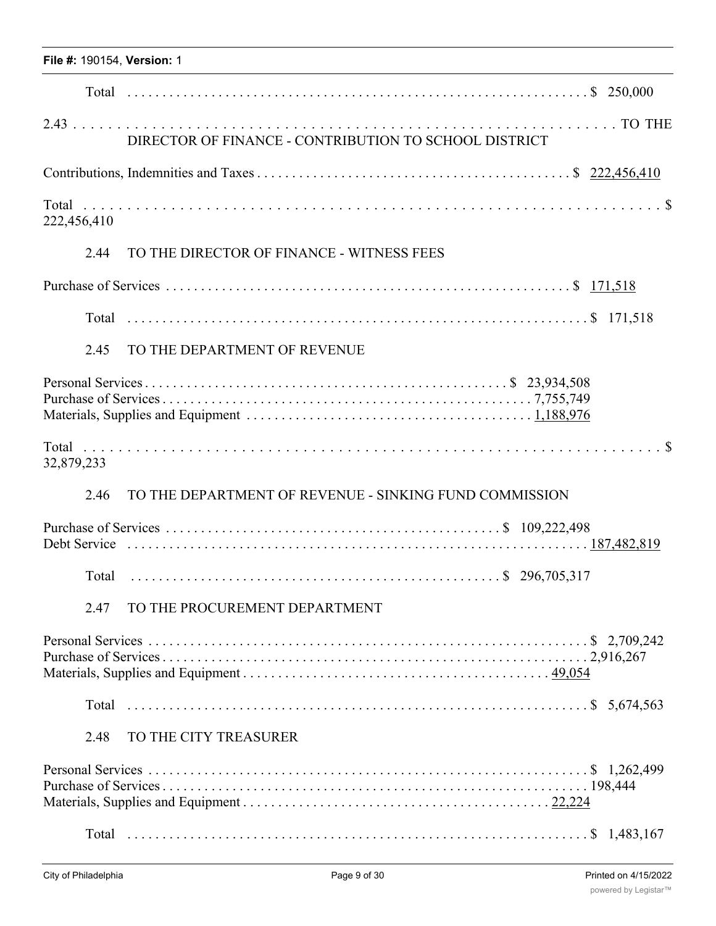| File #: 190154, Version: 1 |                                                        |
|----------------------------|--------------------------------------------------------|
|                            |                                                        |
|                            | DIRECTOR OF FINANCE - CONTRIBUTION TO SCHOOL DISTRICT  |
|                            |                                                        |
| 222,456,410                |                                                        |
| 2.44                       | TO THE DIRECTOR OF FINANCE - WITNESS FEES              |
|                            |                                                        |
|                            |                                                        |
| 2.45                       | TO THE DEPARTMENT OF REVENUE                           |
|                            |                                                        |
| 32,879,233                 |                                                        |
| 2.46                       | TO THE DEPARTMENT OF REVENUE - SINKING FUND COMMISSION |
|                            |                                                        |
|                            |                                                        |
| 2.47                       | TO THE PROCUREMENT DEPARTMENT                          |
|                            |                                                        |
|                            |                                                        |
| 2.48                       | TO THE CITY TREASURER                                  |
|                            |                                                        |
|                            |                                                        |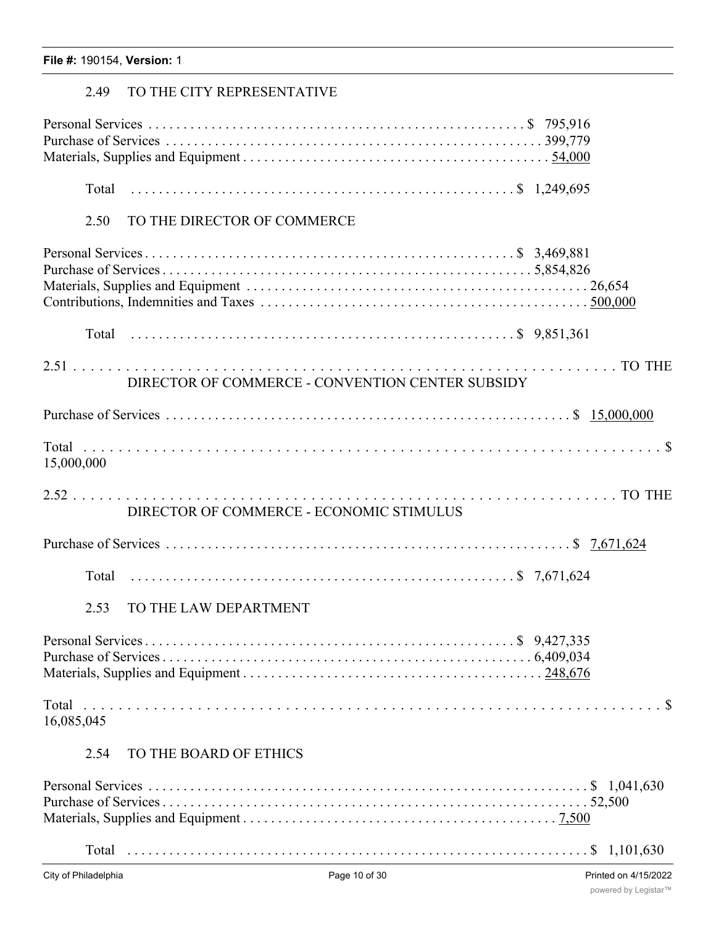# 2.49 TO THE CITY REPRESENTATIVE

| 2.50<br>TO THE DIRECTOR OF COMMERCE              |
|--------------------------------------------------|
|                                                  |
|                                                  |
| DIRECTOR OF COMMERCE - CONVENTION CENTER SUBSIDY |
|                                                  |
| 15,000,000                                       |
| DIRECTOR OF COMMERCE - ECONOMIC STIMULUS         |
|                                                  |
|                                                  |
| TO THE LAW DEPARTMENT<br>2.53                    |
|                                                  |
| 16,085,045                                       |
| 2.54<br>TO THE BOARD OF ETHICS                   |
|                                                  |
|                                                  |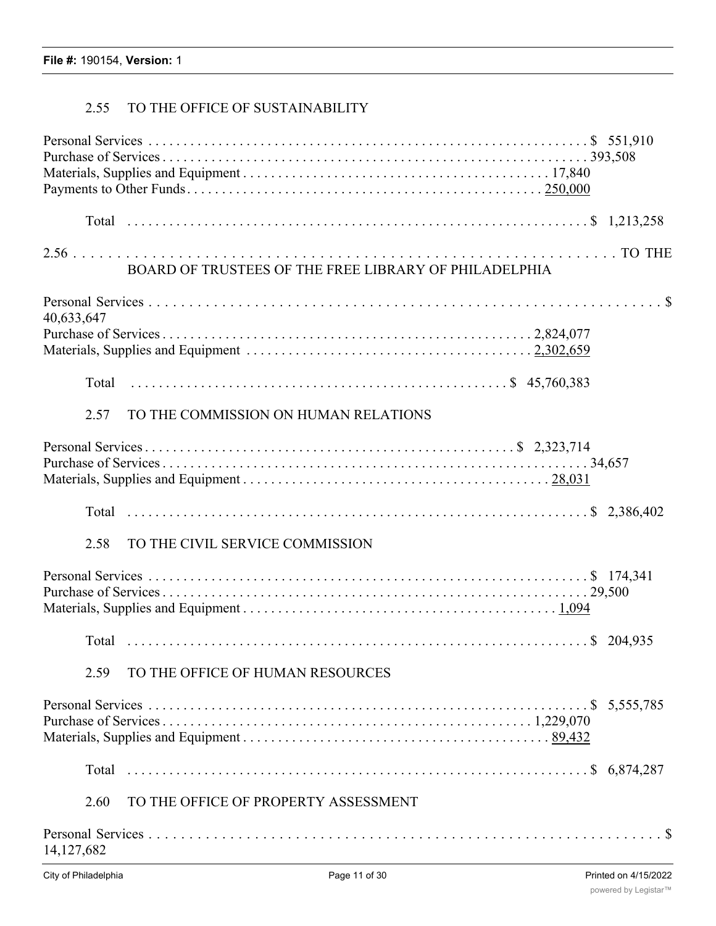# 2.55 TO THE OFFICE OF SUSTAINABILITY

| BOARD OF TRUSTEES OF THE FREE LIBRARY OF PHILADELPHIA |  |
|-------------------------------------------------------|--|
| 40,633,647                                            |  |
|                                                       |  |
|                                                       |  |
|                                                       |  |
| TO THE COMMISSION ON HUMAN RELATIONS<br>2.57          |  |
|                                                       |  |
|                                                       |  |
|                                                       |  |
| 2.58<br>TO THE CIVIL SERVICE COMMISSION               |  |
|                                                       |  |
|                                                       |  |
|                                                       |  |
|                                                       |  |
| TO THE OFFICE OF HUMAN RESOURCES<br>2.59              |  |
|                                                       |  |
| Total                                                 |  |
| TO THE OFFICE OF PROPERTY ASSESSMENT<br>2.60          |  |
| 14,127,682                                            |  |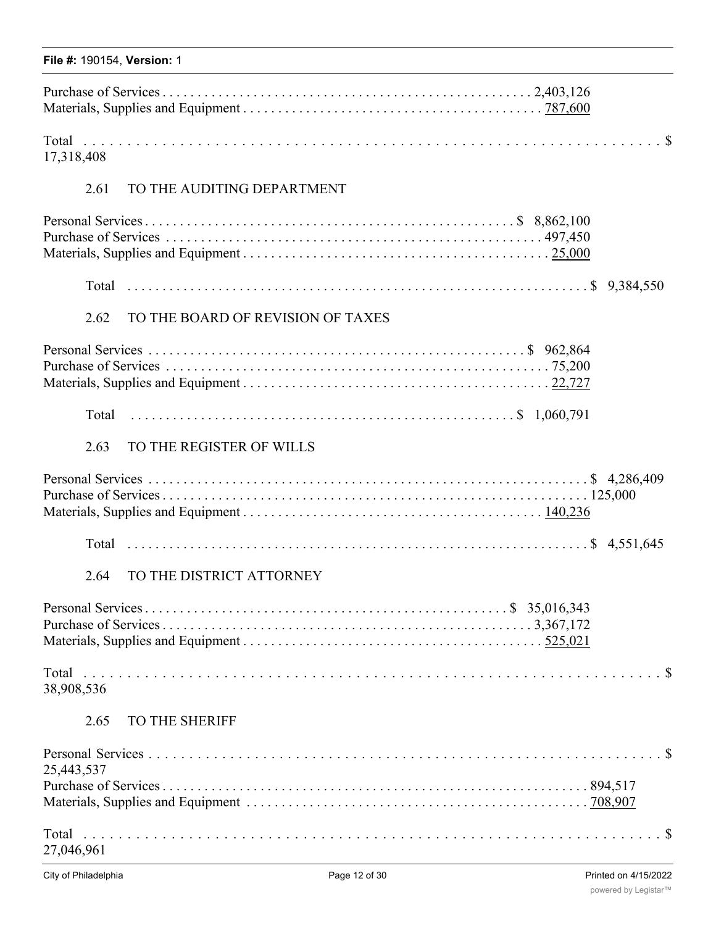|  |  | File #: 190154, Version: 1 |  |
|--|--|----------------------------|--|
|--|--|----------------------------|--|

| 17,318,408                                |
|-------------------------------------------|
| TO THE AUDITING DEPARTMENT<br>2.61        |
|                                           |
|                                           |
| TO THE BOARD OF REVISION OF TAXES<br>2.62 |
|                                           |
|                                           |
| 2.63<br>TO THE REGISTER OF WILLS          |
|                                           |
|                                           |
| TO THE DISTRICT ATTORNEY<br>2.64          |
|                                           |
| 38,908,536                                |
| 2.65<br>TO THE SHERIFF                    |
| 25,443,537                                |
| 27,046,961                                |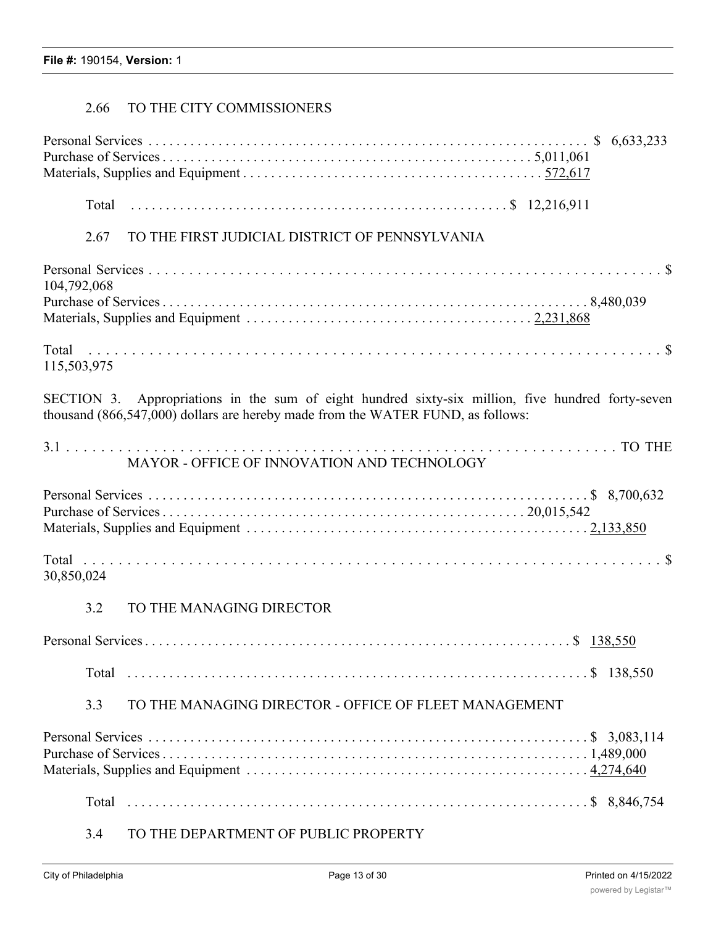# 2.66 TO THE CITY COMMISSIONERS

| 2.67<br>TO THE FIRST JUDICIAL DISTRICT OF PENNSYLVANIA                                                                                                                               |
|--------------------------------------------------------------------------------------------------------------------------------------------------------------------------------------|
| 104,792,068                                                                                                                                                                          |
|                                                                                                                                                                                      |
| 115,503,975                                                                                                                                                                          |
| SECTION 3. Appropriations in the sum of eight hundred sixty-six million, five hundred forty-seven<br>thousand (866,547,000) dollars are hereby made from the WATER FUND, as follows: |
| MAYOR - OFFICE OF INNOVATION AND TECHNOLOGY                                                                                                                                          |
|                                                                                                                                                                                      |
| 30,850,024                                                                                                                                                                           |
| 3.2<br>TO THE MANAGING DIRECTOR                                                                                                                                                      |
|                                                                                                                                                                                      |
|                                                                                                                                                                                      |
| TO THE MANAGING DIRECTOR - OFFICE OF FLEET MANAGEMENT<br>3.3                                                                                                                         |
|                                                                                                                                                                                      |
|                                                                                                                                                                                      |
| TO THE DEPARTMENT OF PUBLIC PROPERTY<br>3.4                                                                                                                                          |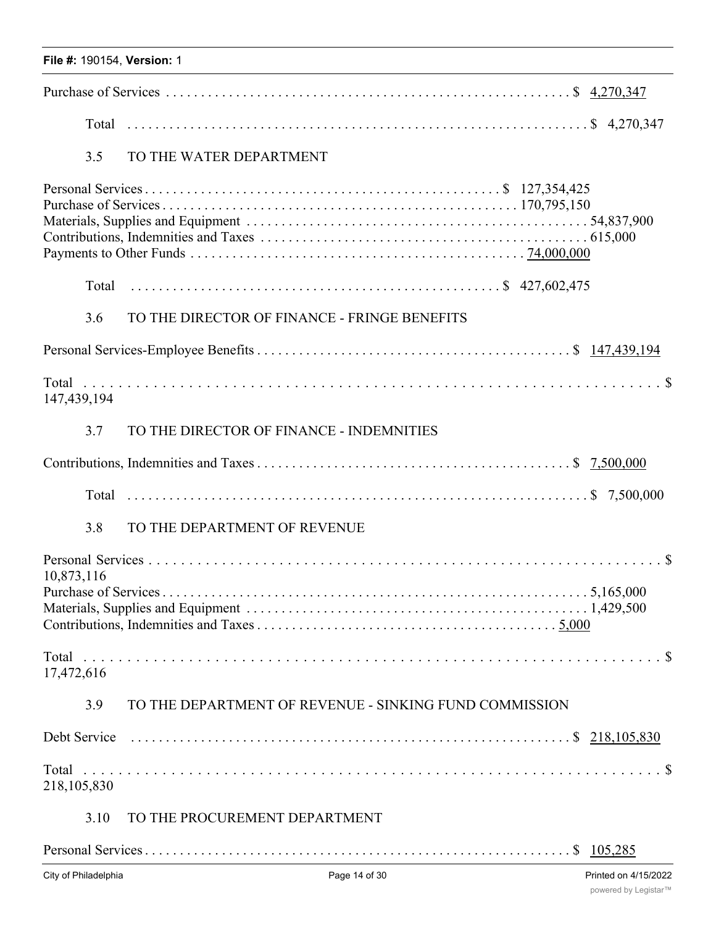| File #: 190154, Version: 1 |                                                        |
|----------------------------|--------------------------------------------------------|
|                            |                                                        |
|                            |                                                        |
| 3.5                        | TO THE WATER DEPARTMENT                                |
|                            |                                                        |
|                            |                                                        |
| 3.6                        | TO THE DIRECTOR OF FINANCE - FRINGE BENEFITS           |
|                            |                                                        |
| 147,439,194                |                                                        |
| 3.7                        | TO THE DIRECTOR OF FINANCE - INDEMNITIES               |
|                            |                                                        |
|                            |                                                        |
| 3.8                        | TO THE DEPARTMENT OF REVENUE                           |
| 10,873,116                 |                                                        |
| 17,472,616                 |                                                        |
| 3.9                        | TO THE DEPARTMENT OF REVENUE - SINKING FUND COMMISSION |
|                            |                                                        |
| 218,105,830                |                                                        |
| 3.10                       | TO THE PROCUREMENT DEPARTMENT                          |
|                            |                                                        |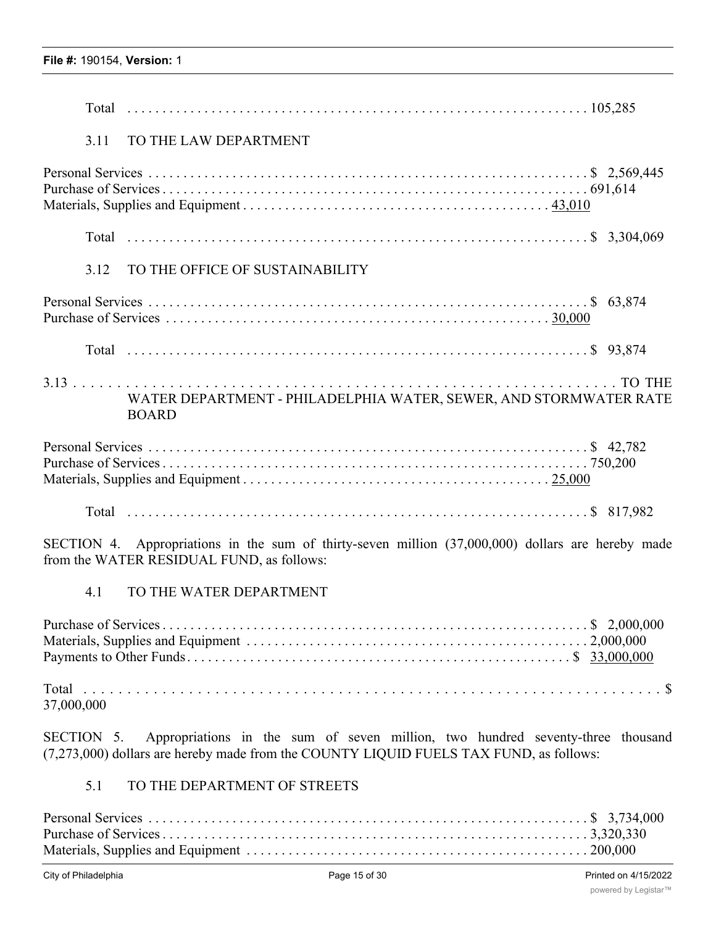| TO THE LAW DEPARTMENT<br>3.11                                                                                                                                                          |
|----------------------------------------------------------------------------------------------------------------------------------------------------------------------------------------|
|                                                                                                                                                                                        |
|                                                                                                                                                                                        |
| 3.12<br>TO THE OFFICE OF SUSTAINABILITY                                                                                                                                                |
|                                                                                                                                                                                        |
|                                                                                                                                                                                        |
| WATER DEPARTMENT - PHILADELPHIA WATER, SEWER, AND STORMWATER RATE<br><b>BOARD</b>                                                                                                      |
|                                                                                                                                                                                        |
|                                                                                                                                                                                        |
| SECTION 4. Appropriations in the sum of thirty-seven million (37,000,000) dollars are hereby made<br>from the WATER RESIDUAL FUND, as follows:                                         |
| 4.1<br>TO THE WATER DEPARTMENT                                                                                                                                                         |
|                                                                                                                                                                                        |
| 37,000,000                                                                                                                                                                             |
| Appropriations in the sum of seven million, two hundred seventy-three thousand<br>SECTION 5.<br>(7,273,000) dollars are hereby made from the COUNTY LIQUID FUELS TAX FUND, as follows: |
| 5.1<br>TO THE DEPARTMENT OF STREETS                                                                                                                                                    |
|                                                                                                                                                                                        |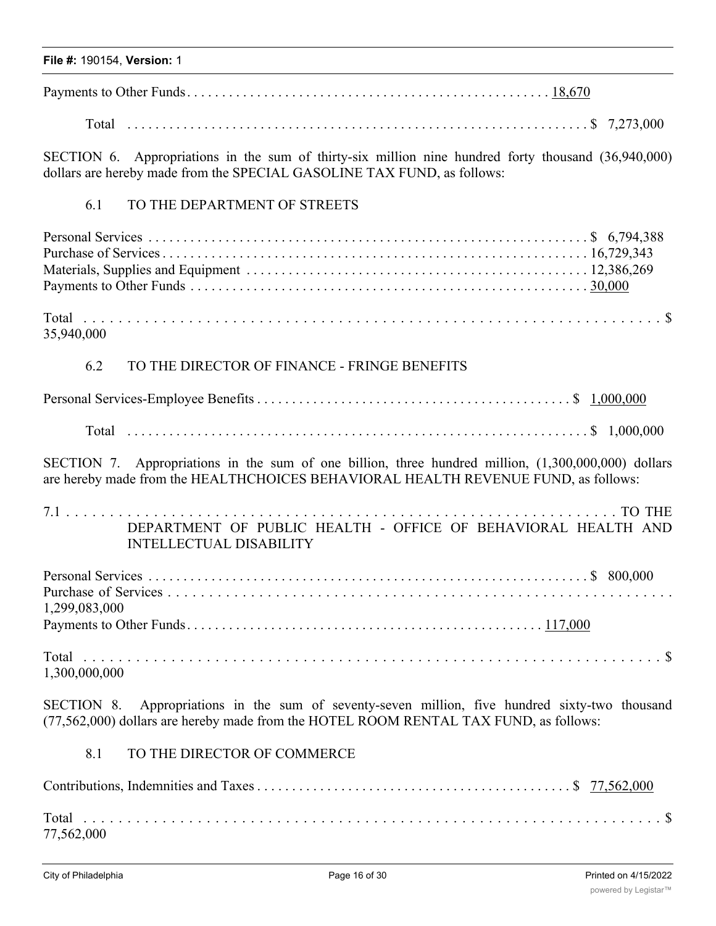|--|

Total . . . . . . . . . . . . . . . . . . . . . . . . . . . . . . . . . . . . . . . . . . . . . . . . . . . . . . . . . . . . . . . . . . \$ 7,273,000

SECTION 6. Appropriations in the sum of thirty-six million nine hundred forty thousand (36,940,000) dollars are hereby made from the SPECIAL GASOLINE TAX FUND, as follows:

#### 6.1 TO THE DEPARTMENT OF STREETS

| 35,940,000 |  |
|------------|--|

# 6.2 TO THE DIRECTOR OF FINANCE - FRINGE BENEFITS

Total . . . . . . . . . . . . . . . . . . . . . . . . . . . . . . . . . . . . . . . . . . . . . . . . . . . . . . . . . . . . . . . . . . \$ 1,000,000

SECTION 7. Appropriations in the sum of one billion, three hundred million, (1,300,000,000) dollars are hereby made from the HEALTHCHOICES BEHAVIORAL HEALTH REVENUE FUND, as follows:

7.1 . . . . . . . . . . . . . . . . . . . . . . . . . . . . . . . . . . . . . . . . . . . . . . . . . . . . . . . . . . . . . . . TO THE DEPARTMENT OF PUBLIC HEALTH - OFFICE OF BEHAVIORAL HEALTH AND INTELLECTUAL DISABILITY

| 1,299,083,000 |  |
|---------------|--|
|               |  |
|               |  |
|               |  |

1,300,000,000

SECTION 8. Appropriations in the sum of seventy-seven million, five hundred sixty-two thousand (77,562,000) dollars are hereby made from the HOTEL ROOM RENTAL TAX FUND, as follows:

#### 8.1 TO THE DIRECTOR OF COMMERCE

| 77,562,000 |  |  |  |
|------------|--|--|--|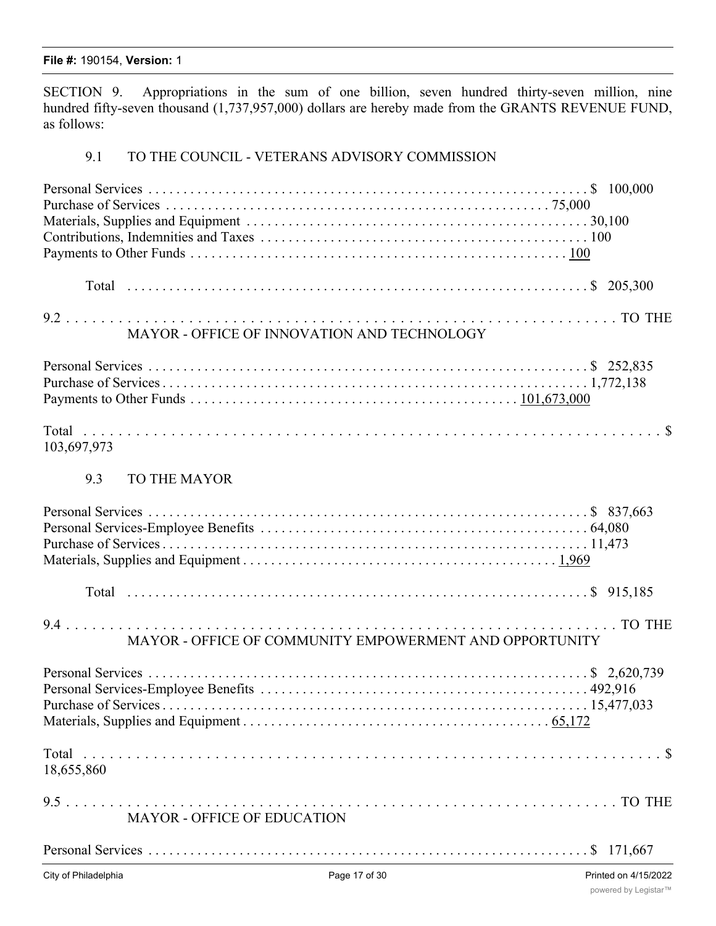SECTION 9. Appropriations in the sum of one billion, seven hundred thirty-seven million, nine hundred fifty-seven thousand (1,737,957,000) dollars are hereby made from the GRANTS REVENUE FUND, as follows:

## 9.1 TO THE COUNCIL - VETERANS ADVISORY COMMISSION

| <b>MAYOR - OFFICE OF EDUCATION</b>                      |  |
|---------------------------------------------------------|--|
| 18,655,860                                              |  |
|                                                         |  |
| MAYOR - OFFICE OF COMMUNITY EMPOWERMENT AND OPPORTUNITY |  |
|                                                         |  |
|                                                         |  |
| 9.3<br><b>TO THE MAYOR</b>                              |  |
| 103,697,973                                             |  |
|                                                         |  |
| MAYOR - OFFICE OF INNOVATION AND TECHNOLOGY             |  |
|                                                         |  |
|                                                         |  |
|                                                         |  |
|                                                         |  |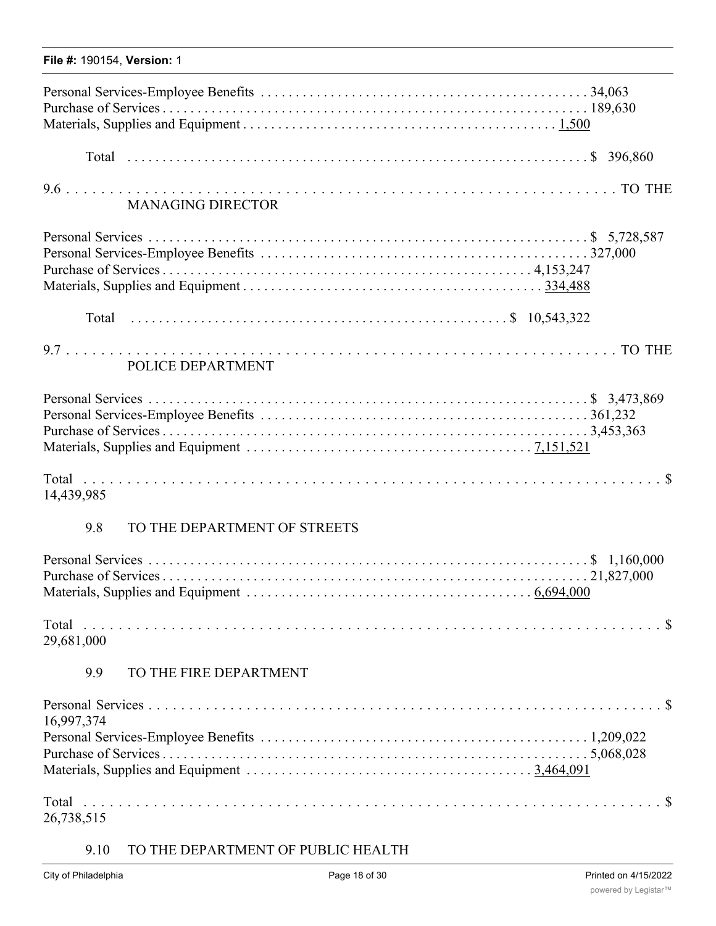| File #: 190154, Version: 1                 |
|--------------------------------------------|
|                                            |
|                                            |
| <b>MANAGING DIRECTOR</b>                   |
|                                            |
|                                            |
| POLICE DEPARTMENT                          |
|                                            |
| 14,439,985                                 |
| TO THE DEPARTMENT OF STREETS<br>9.8        |
|                                            |
| 29,681,000                                 |
| 9.9<br>TO THE FIRE DEPARTMENT              |
| 16,997,374                                 |
|                                            |
| 26,738,515                                 |
| 9.10<br>TO THE DEPARTMENT OF PUBLIC HEALTH |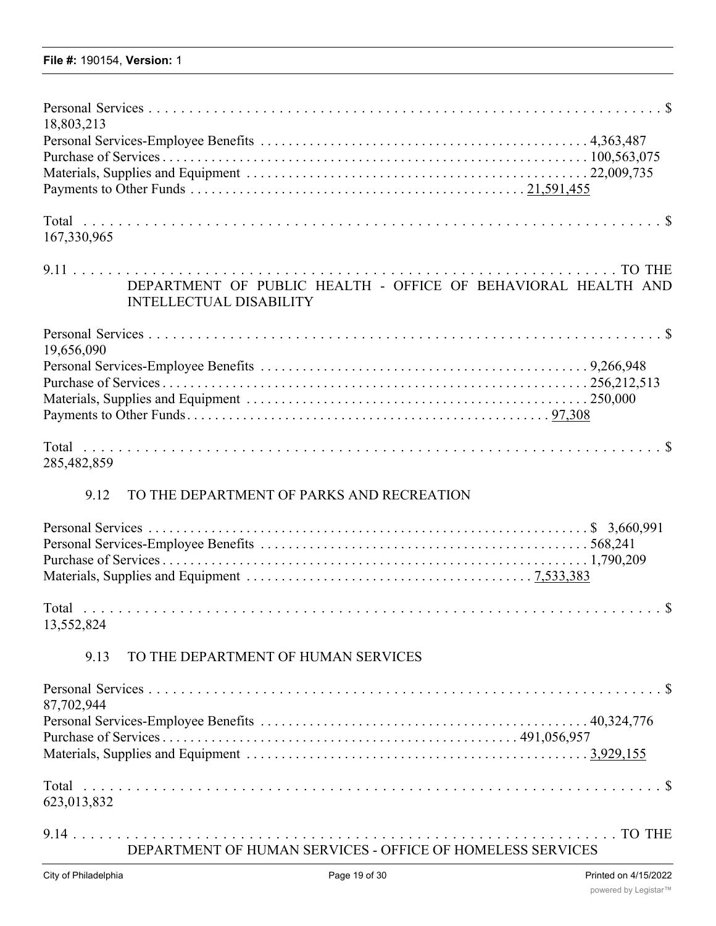| 18,803,213           |                                           |                                                               |                      |
|----------------------|-------------------------------------------|---------------------------------------------------------------|----------------------|
|                      |                                           |                                                               |                      |
| 167,330,965          |                                           |                                                               |                      |
|                      | <b>INTELLECTUAL DISABILITY</b>            | DEPARTMENT OF PUBLIC HEALTH - OFFICE OF BEHAVIORAL HEALTH AND |                      |
| 19,656,090           |                                           |                                                               |                      |
|                      |                                           |                                                               |                      |
|                      |                                           |                                                               |                      |
| 285,482,859          |                                           |                                                               |                      |
| 9.12                 | TO THE DEPARTMENT OF PARKS AND RECREATION |                                                               |                      |
|                      |                                           |                                                               |                      |
|                      |                                           |                                                               |                      |
| 13,552,824           |                                           |                                                               |                      |
| 9.13                 | TO THE DEPARTMENT OF HUMAN SERVICES       |                                                               |                      |
| 87,702,944           |                                           |                                                               |                      |
|                      |                                           |                                                               |                      |
|                      |                                           |                                                               |                      |
| 623,013,832          |                                           |                                                               |                      |
|                      |                                           | DEPARTMENT OF HUMAN SERVICES - OFFICE OF HOMELESS SERVICES    |                      |
| City of Philadelphia |                                           | Page 19 of 30                                                 | Printed on 4/15/2022 |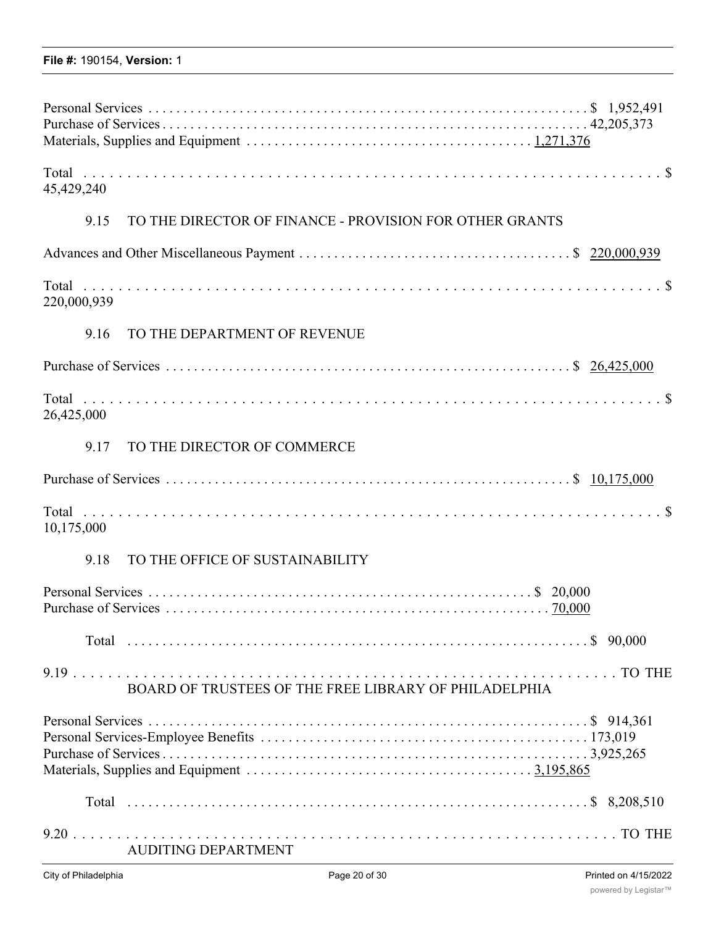| 45,429,240                                                      |
|-----------------------------------------------------------------|
| 9.15<br>TO THE DIRECTOR OF FINANCE - PROVISION FOR OTHER GRANTS |
|                                                                 |
| 220,000,939                                                     |
| TO THE DEPARTMENT OF REVENUE<br>9.16                            |
|                                                                 |
| 26,425,000                                                      |
| TO THE DIRECTOR OF COMMERCE<br>9.17                             |
|                                                                 |
| 10,175,000                                                      |
| TO THE OFFICE OF SUSTAINABILITY<br>9.18                         |
|                                                                 |
|                                                                 |
| BOARD OF TRUSTEES OF THE FREE LIBRARY OF PHILADELPHIA           |
|                                                                 |
|                                                                 |
|                                                                 |
| <b>AUDITING DEPARTMENT</b>                                      |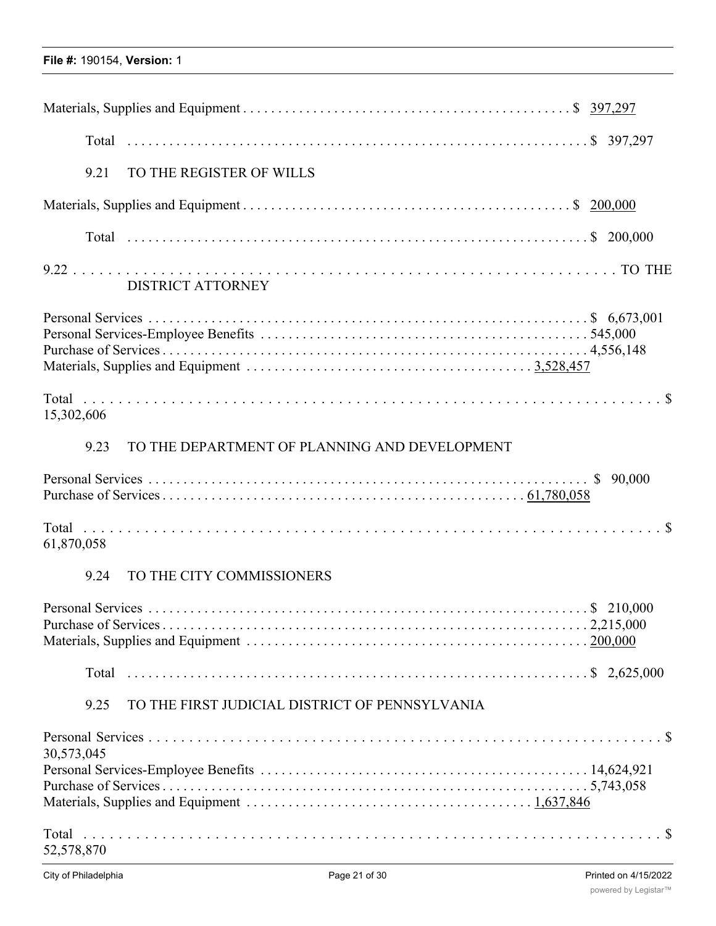| TO THE REGISTER OF WILLS<br>9.21                       |
|--------------------------------------------------------|
|                                                        |
|                                                        |
| <b>DISTRICT ATTORNEY</b>                               |
|                                                        |
| 15,302,606                                             |
| TO THE DEPARTMENT OF PLANNING AND DEVELOPMENT<br>9.23  |
|                                                        |
|                                                        |
| 61,870,058                                             |
| TO THE CITY COMMISSIONERS<br>9.24                      |
|                                                        |
|                                                        |
| TO THE FIRST JUDICIAL DISTRICT OF PENNSYLVANIA<br>9.25 |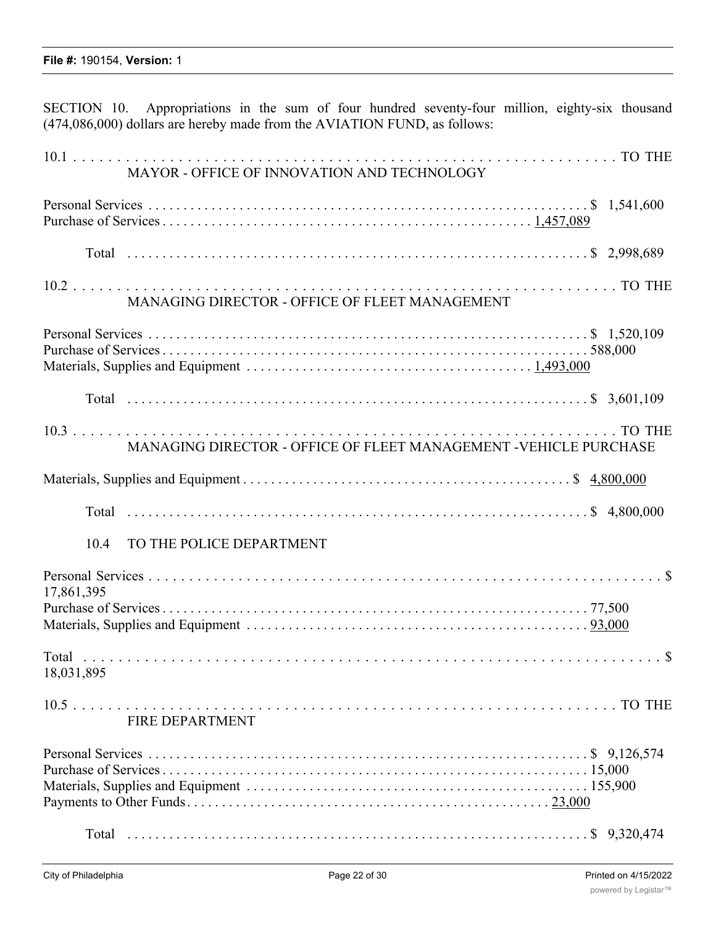SECTION 10. Appropriations in the sum of four hundred seventy-four million, eighty-six thousand (474,086,000) dollars are hereby made from the AVIATION FUND, as follows:

|            | MAYOR - OFFICE OF INNOVATION AND TECHNOLOGY                      |
|------------|------------------------------------------------------------------|
|            |                                                                  |
|            |                                                                  |
|            | MANAGING DIRECTOR - OFFICE OF FLEET MANAGEMENT                   |
|            |                                                                  |
|            |                                                                  |
|            | MANAGING DIRECTOR - OFFICE OF FLEET MANAGEMENT -VEHICLE PURCHASE |
|            |                                                                  |
|            |                                                                  |
| 10.4       | TO THE POLICE DEPARTMENT                                         |
| 17,861,395 |                                                                  |
|            | 18,031,895                                                       |
|            | FIRE DEPARTMENT                                                  |
|            |                                                                  |
|            |                                                                  |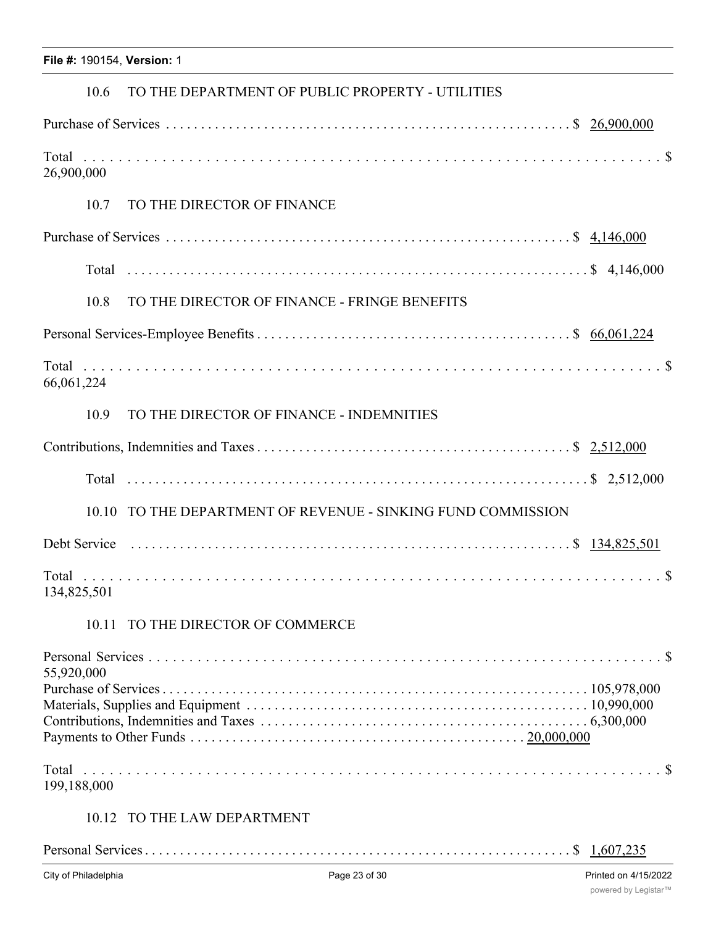# 10.6 TO THE DEPARTMENT OF PUBLIC PROPERTY - UTILITIES Purchase of Services . . . . . . . . . . . . . . . . . . . . . . . . . . . . . . . . . . . . . . . . . . . . . . . . . . . . . . . . . . \$ 26,900,000 Total . . . . . . . . . . . . . . . . . . . . . . . . . . . . . . . . . . . . . . . . . . . . . . . . . . . . . . . . . . . . . . . . . . \$ 26,900,000 10.7 TO THE DIRECTOR OF FINANCE Purchase of Services . . . . . . . . . . . . . . . . . . . . . . . . . . . . . . . . . . . . . . . . . . . . . . . . . . . . . . . . . . \$ 4,146,000 Total . . . . . . . . . . . . . . . . . . . . . . . . . . . . . . . . . . . . . . . . . . . . . . . . . . . . . . . . . . . . . . . . . . \$ 4,146,000 10.8 TO THE DIRECTOR OF FINANCE - FRINGE BENEFITS Personal Services-Employee Benefits . . . . . . . . . . . . . . . . . . . . . . . . . . . . . . . . . . . . . . . . . . . . . \$ 66,061,224 Total . . . . . . . . . . . . . . . . . . . . . . . . . . . . . . . . . . . . . . . . . . . . . . . . . . . . . . . . . . . . . . . . . . \$ 66,061,224 10.9 TO THE DIRECTOR OF FINANCE - INDEMNITIES Contributions, Indemnities and Taxes . . . . . . . . . . . . . . . . . . . . . . . . . . . . . . . . . . . . . . . . . . . . . \$ 2,512,000 Total . . . . . . . . . . . . . . . . . . . . . . . . . . . . . . . . . . . . . . . . . . . . . . . . . . . . . . . . . . . . . . . . . . \$ 2,512,000 10.10 TO THE DEPARTMENT OF REVENUE - SINKING FUND COMMISSION Debt Service . . . . . . . . . . . . . . . . . . . . . . . . . . . . . . . . . . . . . . . . . . . . . . . . . . . . . . . . . . . . . . . \$ 134,825,501 Total . . . . . . . . . . . . . . . . . . . . . . . . . . . . . . . . . . . . . . . . . . . . . . . . . . . . . . . . . . . . . . . . . . \$ 134,825,501 10.11 TO THE DIRECTOR OF COMMERCE Personal Services . . . . . . . . . . . . . . . . . . . . . . . . . . . . . . . . . . . . . . . . . . . . . . . . . . . . . . . . . . . . . . . \$ 55,920,000 Purchase of Services. . . . . . . . . . . . . . . . . . . . . . . . . . . . . . . . . . . . . . . . . . . . . . . . . . . . . . . . . . . . . 105,978,000 Materials, Supplies and Equipment . . . . . . . . . . . . . . . . . . . . . . . . . . . . . . . . . . . . . . . . . . . . . . . . . 10,990,000 Contributions, Indemnities and Taxes . . . . . . . . . . . . . . . . . . . . . . . . . . . . . . . . . . . . . . . . . . . . . . . 6,300,000 Payments to Other Funds . . . . . . . . . . . . . . . . . . . . . . . . . . . . . . . . . . . . . . . . . . . . . . . . 20,000,000 Total . . . . . . . . . . . . . . . . . . . . . . . . . . . . . . . . . . . . . . . . . . . . . . . . . . . . . . . . . . . . . . . . . . \$ 199,188,000 10.12 TO THE LAW DEPARTMENT Personal Services. . . . . . . . . . . . . . . . . . . . . . . . . . . . . . . . . . . . . . . . . . . . . . . . . . . . . . . . . . . . . \$ 1,607,235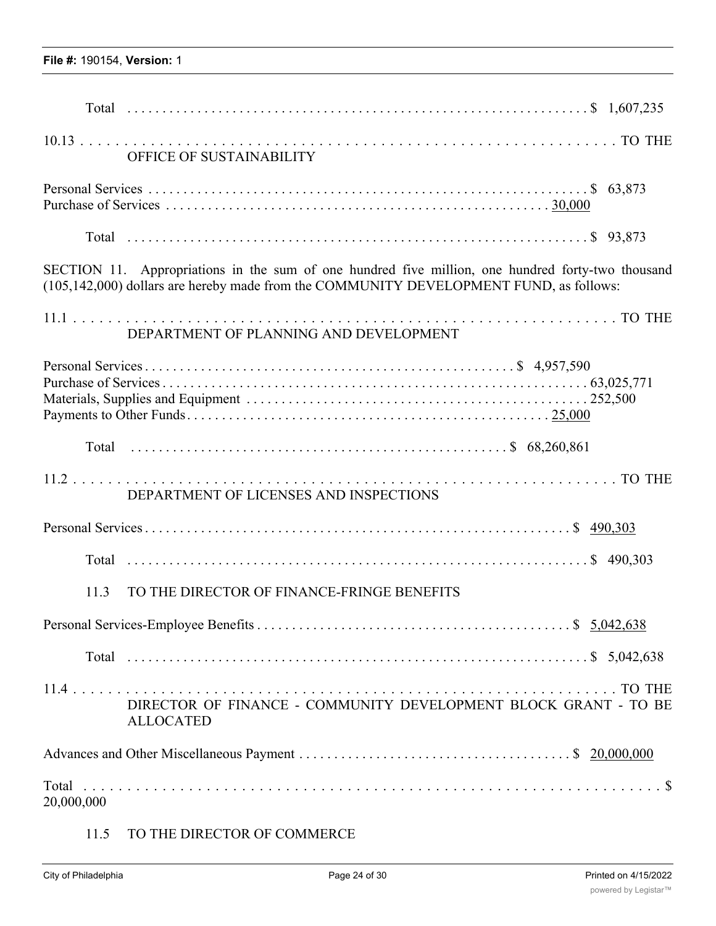| OFFICE OF SUSTAINABILITY                                                                                                                                                                    |
|---------------------------------------------------------------------------------------------------------------------------------------------------------------------------------------------|
|                                                                                                                                                                                             |
|                                                                                                                                                                                             |
| SECTION 11. Appropriations in the sum of one hundred five million, one hundred forty-two thousand<br>(105,142,000) dollars are hereby made from the COMMUNITY DEVELOPMENT FUND, as follows: |
| DEPARTMENT OF PLANNING AND DEVELOPMENT                                                                                                                                                      |
|                                                                                                                                                                                             |
|                                                                                                                                                                                             |
| $11.2$ TO THE<br>DEPARTMENT OF LICENSES AND INSPECTIONS                                                                                                                                     |
|                                                                                                                                                                                             |
|                                                                                                                                                                                             |
| TO THE DIRECTOR OF FINANCE-FRINGE BENEFITS<br>11.3                                                                                                                                          |
|                                                                                                                                                                                             |
|                                                                                                                                                                                             |
| DIRECTOR OF FINANCE - COMMUNITY DEVELOPMENT BLOCK GRANT - TO BE                                                                                                                             |
| <b>ALLOCATED</b>                                                                                                                                                                            |
|                                                                                                                                                                                             |

## 11.5 TO THE DIRECTOR OF COMMERCE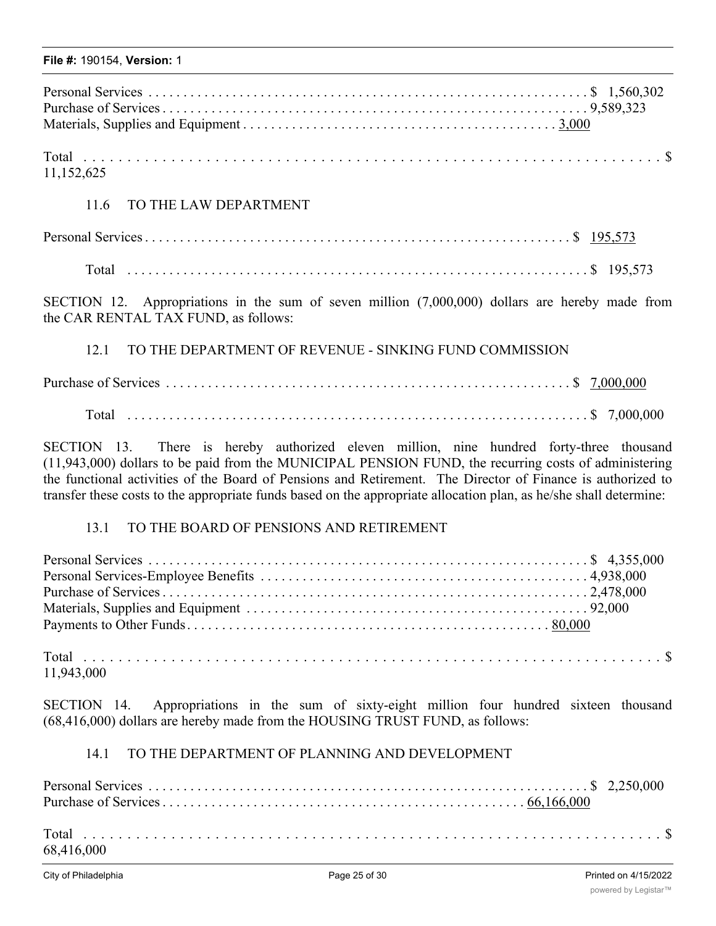Total . . . . . . . . . . . . . . . . . . . . . . . . . . . . . . . . . . . . . . . . . . . . . . . . . . . . . . . . . . . . . . . . . . \$ 11,152,625

11.6 TO THE LAW DEPARTMENT

|  | 195,573 |
|--|---------|
|--|---------|

Total . . . . . . . . . . . . . . . . . . . . . . . . . . . . . . . . . . . . . . . . . . . . . . . . . . . . . . . . . . . . . . . . . . \$ 195,573

SECTION 12. Appropriations in the sum of seven million (7,000,000) dollars are hereby made from the CAR RENTAL TAX FUND, as follows:

12.1 TO THE DEPARTMENT OF REVENUE - SINKING FUND COMMISSION

Total . . . . . . . . . . . . . . . . . . . . . . . . . . . . . . . . . . . . . . . . . . . . . . . . . . . . . . . . . . . . . . . . . . \$ 7,000,000

SECTION 13. There is hereby authorized eleven million, nine hundred forty-three thousand (11,943,000) dollars to be paid from the MUNICIPAL PENSION FUND, the recurring costs of administering the functional activities of the Board of Pensions and Retirement. The Director of Finance is authorized to transfer these costs to the appropriate funds based on the appropriate allocation plan, as he/she shall determine:

# 13.1 TO THE BOARD OF PENSIONS AND RETIREMENT

11,943,000

SECTION 14. Appropriations in the sum of sixty-eight million four hundred sixteen thousand (68,416,000) dollars are hereby made from the HOUSING TRUST FUND, as follows:

## 14.1 TO THE DEPARTMENT OF PLANNING AND DEVELOPMENT

Personal Services . . . . . . . . . . . . . . . . . . . . . . . . . . . . . . . . . . . . . . . . . . . . . . . . . . . . . . . . . . . . . . . \$ 2,250,000 Purchase of Services. . . . . . . . . . . . . . . . . . . . . . . . . . . . . . . . . . . . . . . . . . . . . . . . . . . . 66,166,000 Total . . . . . . . . . . . . . . . . . . . . . . . . . . . . . . . . . . . . . . . . . . . . . . . . . . . . . . . . . . . . . . . . . . \$ 68,416,000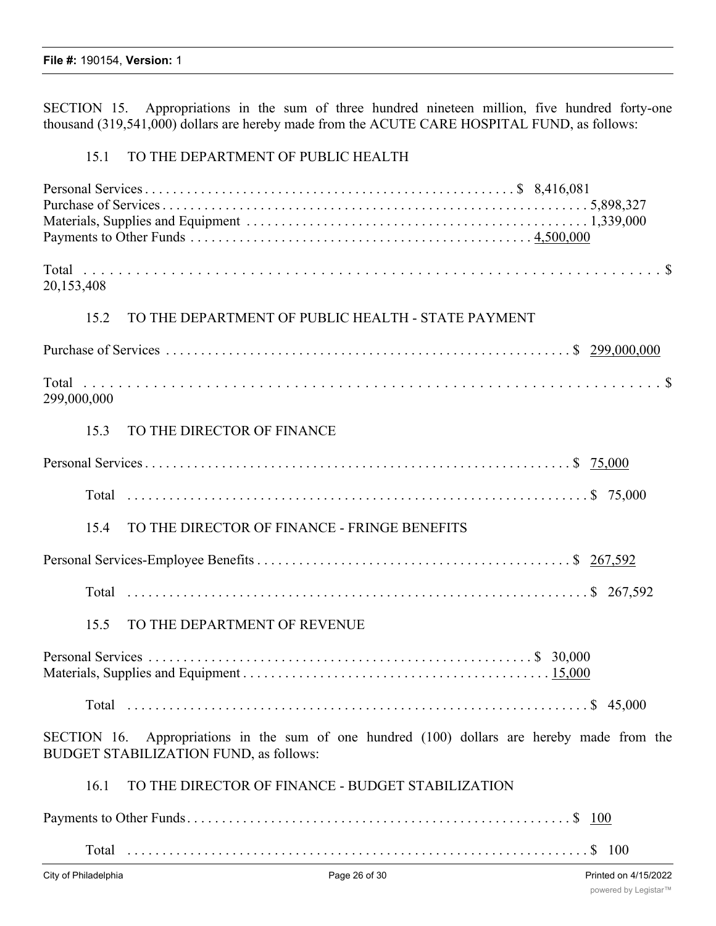SECTION 15. Appropriations in the sum of three hundred nineteen million, five hundred forty-one thousand (319,541,000) dollars are hereby made from the ACUTE CARE HOSPITAL FUND, as follows:

## 15.1 TO THE DEPARTMENT OF PUBLIC HEALTH

| 20,153,408                                                                                                                               |
|------------------------------------------------------------------------------------------------------------------------------------------|
| 15.2<br>TO THE DEPARTMENT OF PUBLIC HEALTH - STATE PAYMENT                                                                               |
|                                                                                                                                          |
| 299,000,000                                                                                                                              |
| 15.3<br>TO THE DIRECTOR OF FINANCE                                                                                                       |
|                                                                                                                                          |
|                                                                                                                                          |
| TO THE DIRECTOR OF FINANCE - FRINGE BENEFITS<br>15.4                                                                                     |
|                                                                                                                                          |
|                                                                                                                                          |
| TO THE DEPARTMENT OF REVENUE<br>15.5                                                                                                     |
|                                                                                                                                          |
| Total                                                                                                                                    |
| Appropriations in the sum of one hundred (100) dollars are hereby made from the<br>SECTION 16.<br>BUDGET STABILIZATION FUND, as follows: |
| TO THE DIRECTOR OF FINANCE - BUDGET STABILIZATION<br>16.1                                                                                |
|                                                                                                                                          |
|                                                                                                                                          |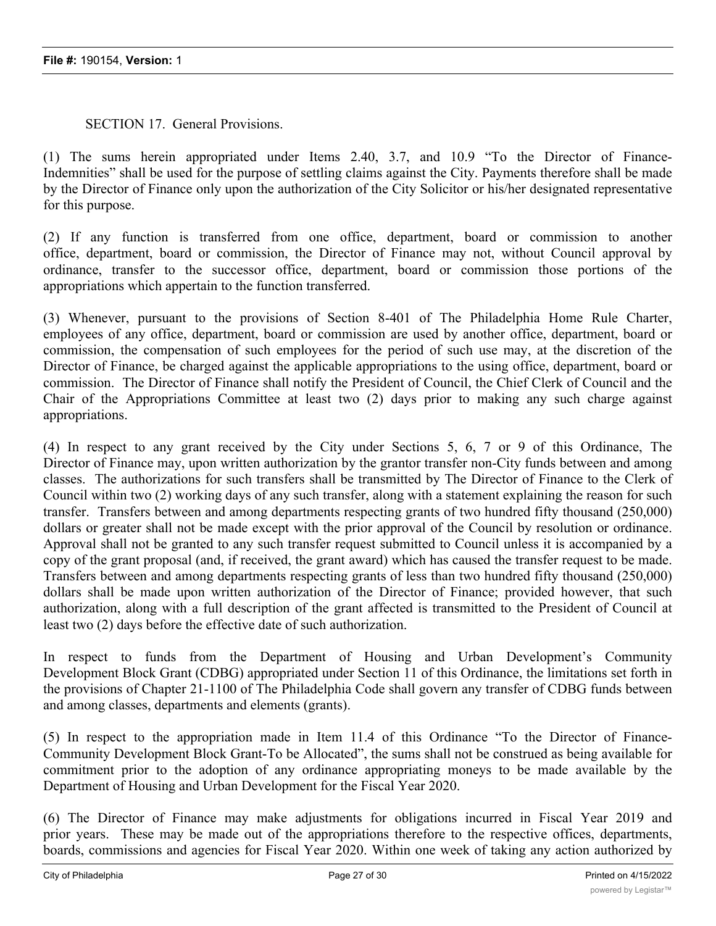SECTION 17. General Provisions.

(1) The sums herein appropriated under Items 2.40, 3.7, and 10.9 "To the Director of Finance-Indemnities" shall be used for the purpose of settling claims against the City. Payments therefore shall be made by the Director of Finance only upon the authorization of the City Solicitor or his/her designated representative for this purpose.

(2) If any function is transferred from one office, department, board or commission to another office, department, board or commission, the Director of Finance may not, without Council approval by ordinance, transfer to the successor office, department, board or commission those portions of the appropriations which appertain to the function transferred.

(3) Whenever, pursuant to the provisions of Section 8-401 of The Philadelphia Home Rule Charter, employees of any office, department, board or commission are used by another office, department, board or commission, the compensation of such employees for the period of such use may, at the discretion of the Director of Finance, be charged against the applicable appropriations to the using office, department, board or commission. The Director of Finance shall notify the President of Council, the Chief Clerk of Council and the Chair of the Appropriations Committee at least two (2) days prior to making any such charge against appropriations.

(4) In respect to any grant received by the City under Sections 5, 6, 7 or 9 of this Ordinance, The Director of Finance may, upon written authorization by the grantor transfer non-City funds between and among classes. The authorizations for such transfers shall be transmitted by The Director of Finance to the Clerk of Council within two (2) working days of any such transfer, along with a statement explaining the reason for such transfer. Transfers between and among departments respecting grants of two hundred fifty thousand (250,000) dollars or greater shall not be made except with the prior approval of the Council by resolution or ordinance. Approval shall not be granted to any such transfer request submitted to Council unless it is accompanied by a copy of the grant proposal (and, if received, the grant award) which has caused the transfer request to be made. Transfers between and among departments respecting grants of less than two hundred fifty thousand (250,000) dollars shall be made upon written authorization of the Director of Finance; provided however, that such authorization, along with a full description of the grant affected is transmitted to the President of Council at least two (2) days before the effective date of such authorization.

In respect to funds from the Department of Housing and Urban Development's Community Development Block Grant (CDBG) appropriated under Section 11 of this Ordinance, the limitations set forth in the provisions of Chapter 21-1100 of The Philadelphia Code shall govern any transfer of CDBG funds between and among classes, departments and elements (grants).

(5) In respect to the appropriation made in Item 11.4 of this Ordinance "To the Director of Finance-Community Development Block Grant-To be Allocated", the sums shall not be construed as being available for commitment prior to the adoption of any ordinance appropriating moneys to be made available by the Department of Housing and Urban Development for the Fiscal Year 2020.

(6) The Director of Finance may make adjustments for obligations incurred in Fiscal Year 2019 and prior years. These may be made out of the appropriations therefore to the respective offices, departments, boards, commissions and agencies for Fiscal Year 2020. Within one week of taking any action authorized by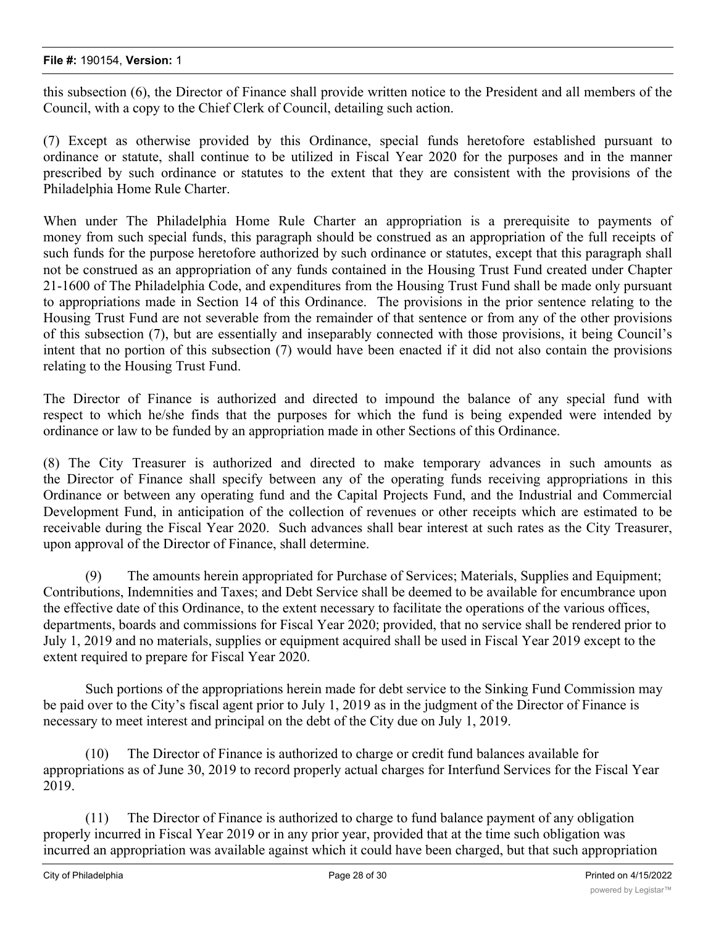this subsection (6), the Director of Finance shall provide written notice to the President and all members of the Council, with a copy to the Chief Clerk of Council, detailing such action.

(7) Except as otherwise provided by this Ordinance, special funds heretofore established pursuant to ordinance or statute, shall continue to be utilized in Fiscal Year 2020 for the purposes and in the manner prescribed by such ordinance or statutes to the extent that they are consistent with the provisions of the Philadelphia Home Rule Charter.

When under The Philadelphia Home Rule Charter an appropriation is a prerequisite to payments of money from such special funds, this paragraph should be construed as an appropriation of the full receipts of such funds for the purpose heretofore authorized by such ordinance or statutes, except that this paragraph shall not be construed as an appropriation of any funds contained in the Housing Trust Fund created under Chapter 21-1600 of The Philadelphia Code, and expenditures from the Housing Trust Fund shall be made only pursuant to appropriations made in Section 14 of this Ordinance. The provisions in the prior sentence relating to the Housing Trust Fund are not severable from the remainder of that sentence or from any of the other provisions of this subsection (7), but are essentially and inseparably connected with those provisions, it being Council's intent that no portion of this subsection (7) would have been enacted if it did not also contain the provisions relating to the Housing Trust Fund.

The Director of Finance is authorized and directed to impound the balance of any special fund with respect to which he/she finds that the purposes for which the fund is being expended were intended by ordinance or law to be funded by an appropriation made in other Sections of this Ordinance.

(8) The City Treasurer is authorized and directed to make temporary advances in such amounts as the Director of Finance shall specify between any of the operating funds receiving appropriations in this Ordinance or between any operating fund and the Capital Projects Fund, and the Industrial and Commercial Development Fund, in anticipation of the collection of revenues or other receipts which are estimated to be receivable during the Fiscal Year 2020. Such advances shall bear interest at such rates as the City Treasurer, upon approval of the Director of Finance, shall determine.

(9) The amounts herein appropriated for Purchase of Services; Materials, Supplies and Equipment; Contributions, Indemnities and Taxes; and Debt Service shall be deemed to be available for encumbrance upon the effective date of this Ordinance, to the extent necessary to facilitate the operations of the various offices, departments, boards and commissions for Fiscal Year 2020; provided, that no service shall be rendered prior to July 1, 2019 and no materials, supplies or equipment acquired shall be used in Fiscal Year 2019 except to the extent required to prepare for Fiscal Year 2020.

Such portions of the appropriations herein made for debt service to the Sinking Fund Commission may be paid over to the City's fiscal agent prior to July 1, 2019 as in the judgment of the Director of Finance is necessary to meet interest and principal on the debt of the City due on July 1, 2019.

(10) The Director of Finance is authorized to charge or credit fund balances available for appropriations as of June 30, 2019 to record properly actual charges for Interfund Services for the Fiscal Year 2019.

(11) The Director of Finance is authorized to charge to fund balance payment of any obligation properly incurred in Fiscal Year 2019 or in any prior year, provided that at the time such obligation was incurred an appropriation was available against which it could have been charged, but that such appropriation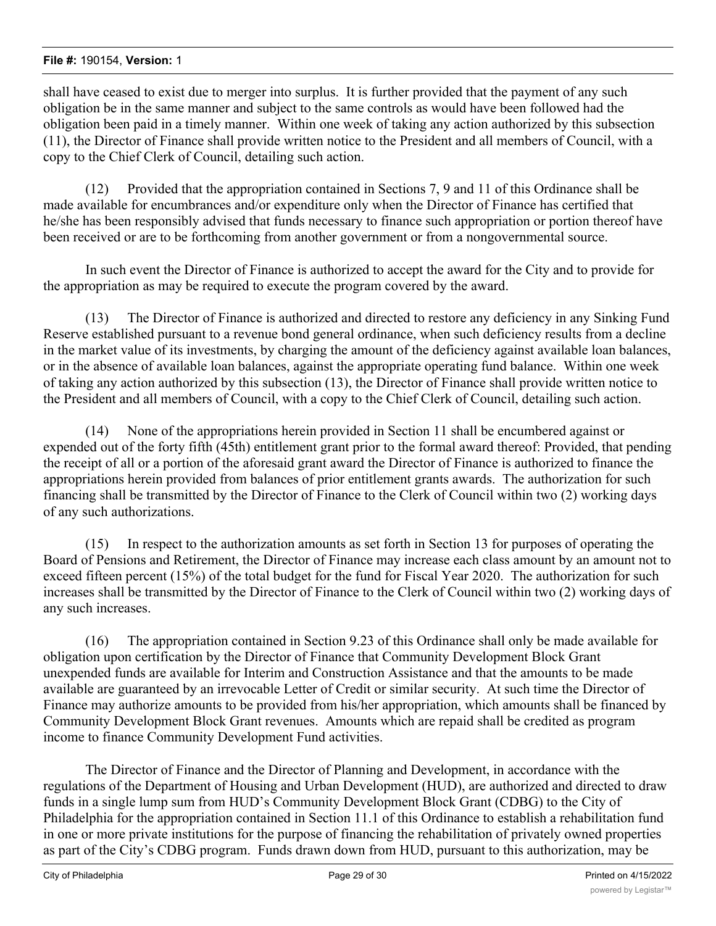shall have ceased to exist due to merger into surplus. It is further provided that the payment of any such obligation be in the same manner and subject to the same controls as would have been followed had the obligation been paid in a timely manner. Within one week of taking any action authorized by this subsection (11), the Director of Finance shall provide written notice to the President and all members of Council, with a copy to the Chief Clerk of Council, detailing such action.

(12) Provided that the appropriation contained in Sections 7, 9 and 11 of this Ordinance shall be made available for encumbrances and/or expenditure only when the Director of Finance has certified that he/she has been responsibly advised that funds necessary to finance such appropriation or portion thereof have been received or are to be forthcoming from another government or from a nongovernmental source.

In such event the Director of Finance is authorized to accept the award for the City and to provide for the appropriation as may be required to execute the program covered by the award.

(13) The Director of Finance is authorized and directed to restore any deficiency in any Sinking Fund Reserve established pursuant to a revenue bond general ordinance, when such deficiency results from a decline in the market value of its investments, by charging the amount of the deficiency against available loan balances, or in the absence of available loan balances, against the appropriate operating fund balance. Within one week of taking any action authorized by this subsection (13), the Director of Finance shall provide written notice to the President and all members of Council, with a copy to the Chief Clerk of Council, detailing such action.

(14) None of the appropriations herein provided in Section 11 shall be encumbered against or expended out of the forty fifth (45th) entitlement grant prior to the formal award thereof: Provided, that pending the receipt of all or a portion of the aforesaid grant award the Director of Finance is authorized to finance the appropriations herein provided from balances of prior entitlement grants awards. The authorization for such financing shall be transmitted by the Director of Finance to the Clerk of Council within two (2) working days of any such authorizations.

(15) In respect to the authorization amounts as set forth in Section 13 for purposes of operating the Board of Pensions and Retirement, the Director of Finance may increase each class amount by an amount not to exceed fifteen percent (15%) of the total budget for the fund for Fiscal Year 2020. The authorization for such increases shall be transmitted by the Director of Finance to the Clerk of Council within two (2) working days of any such increases.

(16) The appropriation contained in Section 9.23 of this Ordinance shall only be made available for obligation upon certification by the Director of Finance that Community Development Block Grant unexpended funds are available for Interim and Construction Assistance and that the amounts to be made available are guaranteed by an irrevocable Letter of Credit or similar security. At such time the Director of Finance may authorize amounts to be provided from his/her appropriation, which amounts shall be financed by Community Development Block Grant revenues. Amounts which are repaid shall be credited as program income to finance Community Development Fund activities.

The Director of Finance and the Director of Planning and Development, in accordance with the regulations of the Department of Housing and Urban Development (HUD), are authorized and directed to draw funds in a single lump sum from HUD's Community Development Block Grant (CDBG) to the City of Philadelphia for the appropriation contained in Section 11.1 of this Ordinance to establish a rehabilitation fund in one or more private institutions for the purpose of financing the rehabilitation of privately owned properties as part of the City's CDBG program. Funds drawn down from HUD, pursuant to this authorization, may be